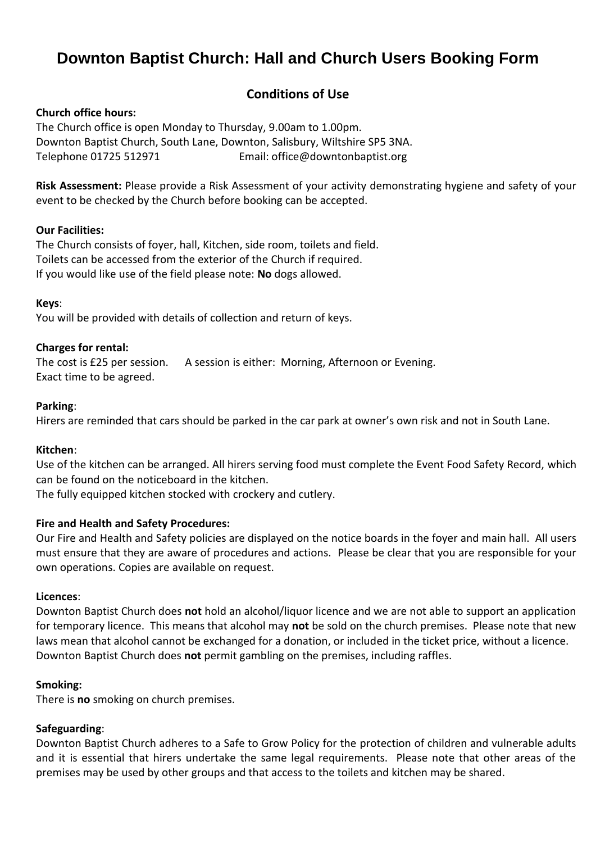# **Downton Baptist Church: Hall and Church Users Booking Form**

### **Conditions of Use**

#### **Church office hours:**

The Church office is open Monday to Thursday, 9.00am to 1.00pm. Downton Baptist Church, South Lane, Downton, Salisbury, Wiltshire SP5 3NA. Telephone 01725 512971 Email: [office@downtonbaptist.org](mailto:office@downtonbaptist.org)

**Risk Assessment:** Please provide a Risk Assessment of your activity demonstrating hygiene and safety of your event to be checked by the Church before booking can be accepted.

#### **Our Facilities:**

The Church consists of foyer, hall, Kitchen, side room, toilets and field. Toilets can be accessed from the exterior of the Church if required. If you would like use of the field please note: **No** dogs allowed.

#### **Keys**:

You will be provided with details of collection and return of keys.

#### **Charges for rental:**

The cost is £25 per session. A session is either: Morning, Afternoon or Evening. Exact time to be agreed.

#### **Parking**:

Hirers are reminded that cars should be parked in the car park at owner's own risk and not in South Lane.

#### **Kitchen**:

Use of the kitchen can be arranged. All hirers serving food must complete the Event Food Safety Record, which can be found on the noticeboard in the kitchen.

The fully equipped kitchen stocked with crockery and cutlery.

#### **Fire and Health and Safety Procedures:**

Our Fire and Health and Safety policies are displayed on the notice boards in the foyer and main hall. All users must ensure that they are aware of procedures and actions. Please be clear that you are responsible for your own operations. Copies are available on request.

#### **Licences**:

Downton Baptist Church does **not** hold an alcohol/liquor licence and we are not able to support an application for temporary licence. This means that alcohol may **not** be sold on the church premises. Please note that new laws mean that alcohol cannot be exchanged for a donation, or included in the ticket price, without a licence. Downton Baptist Church does **not** permit gambling on the premises, including raffles.

#### **Smoking:**

There is **no** smoking on church premises.

#### **Safeguarding**:

Downton Baptist Church adheres to a Safe to Grow Policy for the protection of children and vulnerable adults and it is essential that hirers undertake the same legal requirements. Please note that other areas of the premises may be used by other groups and that access to the toilets and kitchen may be shared.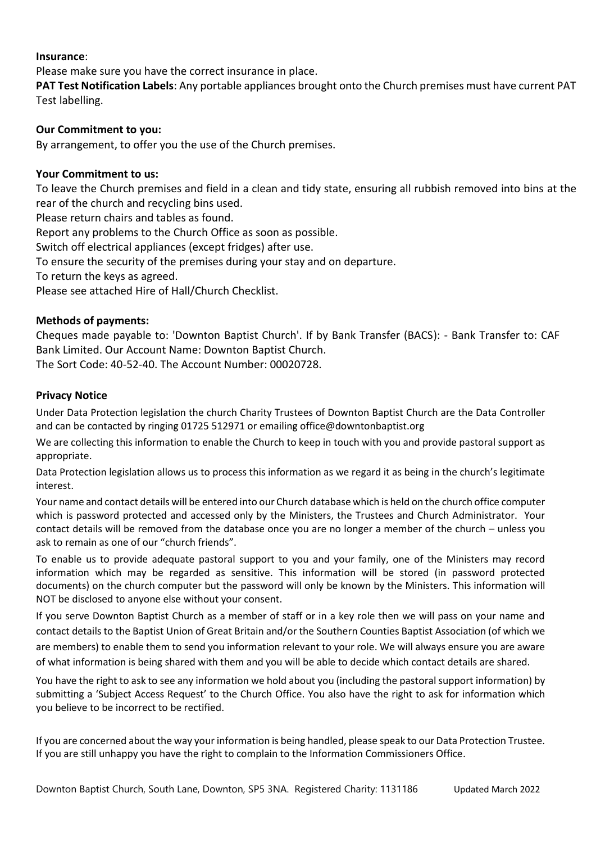#### **Insurance**:

Please make sure you have the correct insurance in place.

**PAT Test Notification Labels**: Any portable appliances brought onto the Church premises must have current PAT Test labelling.

#### **Our Commitment to you:**

By arrangement, to offer you the use of the Church premises.

#### **Your Commitment to us:**

To leave the Church premises and field in a clean and tidy state, ensuring all rubbish removed into bins at the rear of the church and recycling bins used.

Please return chairs and tables as found.

Report any problems to the Church Office as soon as possible.

Switch off electrical appliances (except fridges) after use.

To ensure the security of the premises during your stay and on departure.

To return the keys as agreed.

Please see attached Hire of Hall/Church Checklist.

#### **Methods of payments:**

Cheques made payable to: 'Downton Baptist Church'. If by Bank Transfer (BACS): - Bank Transfer to: CAF Bank Limited. Our Account Name: Downton Baptist Church.

The Sort Code: 40-52-40. The Account Number: 00020728.

#### **Privacy Notice**

Under Data Protection legislation the church Charity Trustees of Downton Baptist Church are the Data Controller and can be contacted by ringing 01725 512971 or emailing office@downtonbaptist.org

We are collecting this information to enable the Church to keep in touch with you and provide pastoral support as appropriate.

Data Protection legislation allows us to process this information as we regard it as being in the church's legitimate interest.

Your name and contact details will be entered into our Church database which is held on the church office computer which is password protected and accessed only by the Ministers, the Trustees and Church Administrator. Your contact details will be removed from the database once you are no longer a member of the church – unless you ask to remain as one of our "church friends".

To enable us to provide adequate pastoral support to you and your family, one of the Ministers may record information which may be regarded as sensitive. This information will be stored (in password protected documents) on the church computer but the password will only be known by the Ministers. This information will NOT be disclosed to anyone else without your consent.

If you serve Downton Baptist Church as a member of staff or in a key role then we will pass on your name and contact details to the Baptist Union of Great Britain and/or the Southern Counties Baptist Association (of which we are members) to enable them to send you information relevant to your role. We will always ensure you are aware of what information is being shared with them and you will be able to decide which contact details are shared.

You have the right to ask to see any information we hold about you (including the pastoral support information) by submitting a 'Subject Access Request' to the Church Office. You also have the right to ask for information which you believe to be incorrect to be rectified.

If you are concerned about the way your information is being handled, please speak to our Data Protection Trustee. If you are still unhappy you have the right to complain to the Information Commissioners Office.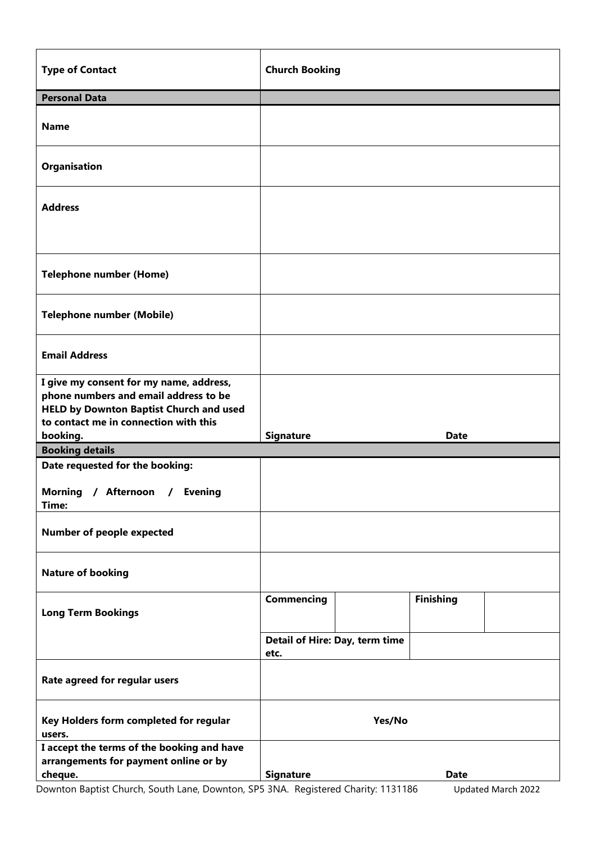| <b>Type of Contact</b>                                                                                                                                                      | <b>Church Booking</b> |                                |                  |  |
|-----------------------------------------------------------------------------------------------------------------------------------------------------------------------------|-----------------------|--------------------------------|------------------|--|
| <b>Personal Data</b>                                                                                                                                                        |                       |                                |                  |  |
| <b>Name</b>                                                                                                                                                                 |                       |                                |                  |  |
| Organisation                                                                                                                                                                |                       |                                |                  |  |
| <b>Address</b>                                                                                                                                                              |                       |                                |                  |  |
| <b>Telephone number (Home)</b>                                                                                                                                              |                       |                                |                  |  |
| <b>Telephone number (Mobile)</b>                                                                                                                                            |                       |                                |                  |  |
| <b>Email Address</b>                                                                                                                                                        |                       |                                |                  |  |
| I give my consent for my name, address,<br>phone numbers and email address to be<br><b>HELD by Downton Baptist Church and used</b><br>to contact me in connection with this |                       |                                |                  |  |
| booking.                                                                                                                                                                    | <b>Signature</b>      |                                | <b>Date</b>      |  |
| <b>Booking details</b>                                                                                                                                                      |                       |                                |                  |  |
| Date requested for the booking:<br>Morning / Afternoon<br><b>Evening</b><br>$\prime$<br>Time:                                                                               |                       |                                |                  |  |
| <b>Number of people expected</b>                                                                                                                                            |                       |                                |                  |  |
| <b>Nature of booking</b>                                                                                                                                                    |                       |                                |                  |  |
| <b>Long Term Bookings</b>                                                                                                                                                   | <b>Commencing</b>     |                                | <b>Finishing</b> |  |
|                                                                                                                                                                             | etc.                  | Detail of Hire: Day, term time |                  |  |
| Rate agreed for regular users                                                                                                                                               |                       |                                |                  |  |
| Key Holders form completed for regular<br>users.                                                                                                                            | Yes/No                |                                |                  |  |
| I accept the terms of the booking and have<br>arrangements for payment online or by<br>cheque.                                                                              | <b>Signature</b>      |                                | <b>Date</b>      |  |

Downton Baptist Church, South Lane, Downton, SP5 3NA. Registered Charity: 1131186 Updated March 2022